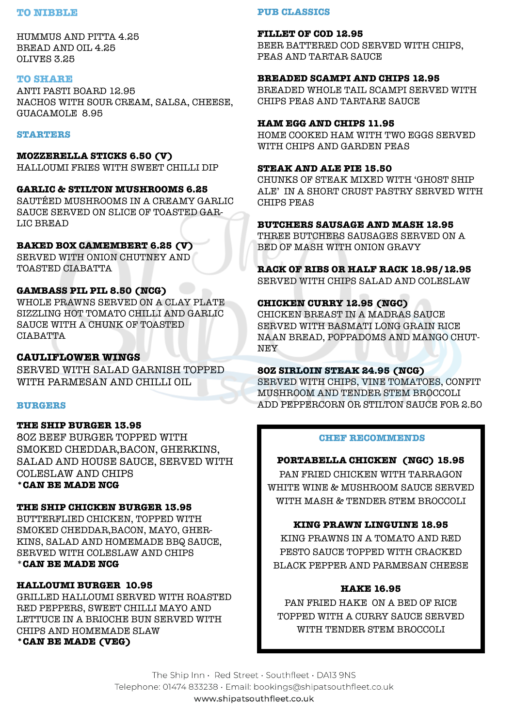#### **TO NIBBLE**

HUMMUS AND PITTA 4.25 BREAD AND OIL 4.25 OLIVES 3.25

#### **TO SHARE**

ANTI PASTI BOARD 12.95 NACHOS WITH SOUR CREAM, SALSA, CHEESE, GUACAMOLE 8.95

#### **STARTERS**

**MOZZERELLA STICKS 6.50 (V)** HALLOUMI FRIES WITH SWEET CHILLI DIP

## **GARLIC & STILTON MUSHROOMS 6.25** SAUTÉED MUSHROOMS IN A CREAMY GARLIC

SAUCE SERVED ON SLICE OF TOASTED GAR-LIC BREAD

## **BAKED BOX CAMEMBERT 6.25 (V)**

SERVED WITH ONION CHUTNEY AND TOASTED CIABATTA

## **GAMBASS PIL PIL 8.50 (NCG)**

WHOLE PRAWNS SERVED ON A CLAY PLATE SIZZLING HOT TOMATO CHILLI AND GARLIC SAUCE WITH A CHUNK OF TOASTED CIABATTA

## **CAULIFLOWER WINGS**

SERVED WITH SALAD GARNISH TOPPED WITH PARMESAN AND CHILLI OIL

## **BURGERS**

## **THE SHIP BURGER 13.95**

80Z BEEF BURGER TOPPED WITH SMOKED CHEDDAR,BACON, GHERKINS, SALAD AND HOUSE SAUCE, SERVED WITH COLESLAW AND CHIPS **\*CAN BE MADE NCG**

## **THE SHIP CHICKEN BURGER 13.95**

BUTTERFLIED CHICKEN, TOPPED WITH SMOKED CHEDDAR,BACON, MAYO, GHER-KINS, SALAD AND HOMEMADE BBQ SAUCE, SERVED WITH COLESLAW AND CHIPS \***CAN BE MADE NCG**

## **HALLOUMI BURGER 10.95**

GRILLED HALLOUMI SERVED WITH ROASTED RED PEPPERS, SWEET CHILLI MAYO AND LETTUCE IN A BRIOCHE BUN SERVED WITH CHIPS AND HOMEMADE SLAW **\*CAN BE MADE (VEG)**

#### **PUB CLASSICS**

#### **FILLET OF COD 12.95**

BEER BATTERED COD SERVED WITH CHIPS, PEAS AND TARTAR SAUCE

#### **BREADED SCAMPI AND CHIPS 12.95**

BREADED WHOLE TAIL SCAMPI SERVED WITH CHIPS PEAS AND TARTARE SAUCE

### **HAM EGG AND CHIPS 11.95**

HOME COOKED HAM WITH TWO EGGS SERVED WITH CHIPS AND GARDEN PEAS

### **STEAK AND ALE PIE 15.50**

CHUNKS OF STEAK MIXED WITH 'GHOST SHIP ALE' IN A SHORT CRUST PASTRY SERVED WITH CHIPS PEAS

#### **BUTCHERS SAUSAGE AND MASH 12.95**

THREE BUTCHERS SAUSAGES SERVED ON A BED OF MASH WITH ONION GRAVY

# **RACK OF RIBS OR HALF RACK 18.95/12.95**

SERVED WITH CHIPS SALAD AND COLESLAW

## **CHICKEN CURRY 12.95 (NGC)**

CHICKEN BREAST IN A MADRAS SAUCE SERVED WITH BASMATI LONG GRAIN RICE NAAN BREAD, POPPADOMS AND MANGO CHUT-NEY

## **8OZ SIRLOIN STEAK 24.95 (NCG)**

SERVED WITH CHIPS, VINE TOMATOES, CONFIT MUSHROOM AND TENDER STEM BROCCOLI ADD PEPPERCORN OR STILTON SAUCE FOR 2.50

## **CHEF RECOMMENDS**

## **PORTABELLA CHICKEN (NGC) 15.95**

PAN FRIED CHICKEN WITH TARRAGON WHITE WINE & MUSHROOM SAUCE SERVED WITH MASH & TENDER STEM BROCCOLI

## **KING PRAWN LINGUINE 18.95**

KING PRAWNS IN A TOMATO AND RED PESTO SAUCE TOPPED WITH CRACKED BLACK PEPPER AND PARMESAN CHEESE

## **HAKE 16.95**

PAN FRIED HAKE ON A BED OF RICE TOPPED WITH A CURRY SAUCE SERVED WITH TENDER STEM BROCCOLI

The Ship Inn · Red Street · Southfleet · DA13 9NS Telephone: 01474 833238 · Email: bookings@shipatsouthfleet.co.uk www.shipatsouthfleet.co.uk